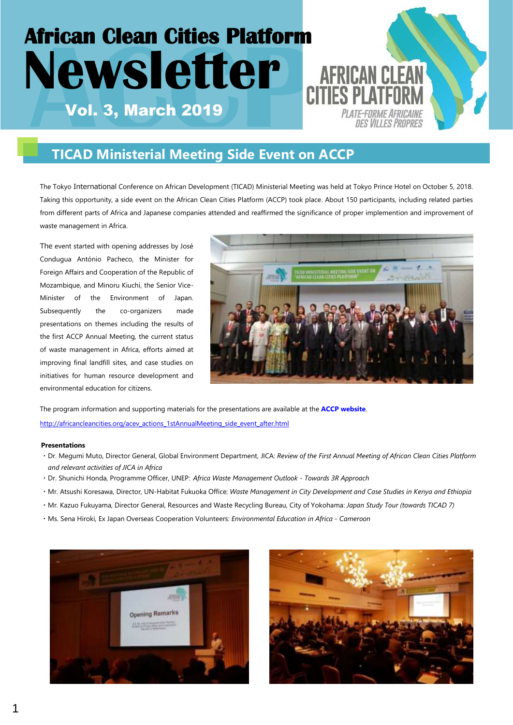# **African Clean Cities Platform African Clean Cities Platform<br>
<b>ACWS** CLEEP<br>
Vol. 3, March 2019 **Newsletter** PLATE-FORME AFRICAINI

# **TICAD Ministerial Meeting Side Event on ACCP**

The Tokyo International Conference on African Development (TICAD) Ministerial Meeting was held at Tokyo Prince Hotel on October 5, 2018. Taking this opportunity, a side event on the African Clean Cities Platform (ACCP) took place. About 150 participants, including related parties from different parts of Africa and Japanese companies attended and reaffirmed the significance of proper implemention and improvement of waste management in Africa.

The event started with opening addresses by José Condugua António Pacheco, the Minister for Foreign Affairs and Cooperation of the Republic of Mozambique, and Minoru Kiuchi, the Senior Vice-Minister of the Environment of Japan. Subsequently the co-organizers made presentations on themes including the results of the first ACCP Annual Meeting, the current status of waste management in Africa, efforts aimed at improving final landfill sites, and case studies on initiatives for human resource development and environmental education for citizens.



The program information and supporting materials for the presentations are available at the **[ACCP website](https://africancleancities.org/)**. [http://africancleancities.org/acev\\_actions\\_1stAnnualMeeting\\_side\\_event\\_after.html](http://africancleancities.org/acev_actions_1stAnnualMeeting_side_event_after.html)

#### **Presentations**

- ・Dr. Megumi Muto, Director General, Global Environment Department, JICA: *Review of the First Annual Meeting of African Clean Cities Platform and relevant activities of JICA in Africa*
- ・Dr. Shunichi Honda, Programme Officer, UNEP: *Africa Waste Management Outlook - Towards 3R Approach*
- ・Mr. Atsushi Koresawa, Director, UN-Habitat Fukuoka Office: *Waste Management in City Development and Case Studies in Kenya and Ethiopia*
- ・Mr. Kazuo Fukuyama, Director General, Resources and Waste Recycling Bureau, City of Yokohama: *Japan Study Tour (towards TICAD 7)*
- ・Ms. Sena Hiroki, Ex Japan Overseas Cooperation Volunteers: *Environmental Education in Africa - Cameroon*



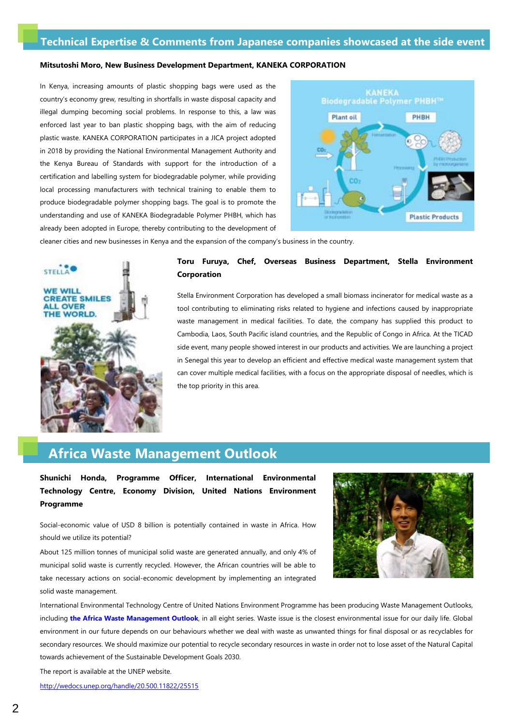### **Technical Expertise & Comments from Japanese companies showcased at the side event**

#### **Mitsutoshi Moro, New Business Development Department, KANEKA CORPORATION**

In Kenya, increasing amounts of plastic shopping bags were used as the country's economy grew, resulting in shortfalls in waste disposal capacity and illegal dumping becoming social problems. In response to this, a law was enforced last year to ban plastic shopping bags, with the aim of reducing plastic waste. KANEKA CORPORATION participates in a JICA project adopted in 2018 by providing the National Environmental Management Authority and the Kenya Bureau of Standards with support for the introduction of a certification and labelling system for biodegradable polymer, while providing local processing manufacturers with technical training to enable them to produce biodegradable polymer shopping bags. The goal is to promote the understanding and use of KANEKA Biodegradable Polymer PHBH, which has already been adopted in Europe, thereby contributing to the development of



cleaner cities and new businesses in Kenya and the expansion of the company's business in the country.



#### **Toru Furuya, Chef, Overseas Business Department, Stella Environment Corporation**

Stella Environment Corporation has developed a small biomass incinerator for medical waste as a tool contributing to eliminating risks related to hygiene and infections caused by inappropriate waste management in medical facilities. To date, the company has supplied this product to Cambodia, Laos, South Pacific island countries, and the Republic of Congo in Africa. At the TICAD side event, many people showed interest in our products and activities. We are launching a project in Senegal this year to develop an efficient and effective medical waste management system that can cover multiple medical facilities, with a focus on the appropriate disposal of needles, which is the top priority in this area.

## **Africa Waste Management Outlook**

**Shunichi Honda, Programme Officer, International Environmental Technology Centre, Economy Division, United Nations Environment Programme**

Social-economic value of USD 8 billion is potentially contained in waste in Africa. How should we utilize its potential?

About 125 million tonnes of municipal solid waste are generated annually, and only 4% of municipal solid waste is currently recycled. However, the African countries will be able to take necessary actions on social-economic development by implementing an integrated solid waste management.



International Environmental Technology Centre of United Nations Environment Programme has been producing Waste Management Outlooks, including **[the Africa Waste Management Outlook](http://wedocs.unep.org/handle/20.500.11822/25515)**, in all eight series. Waste issue is the closest environmental issue for our daily life. Global environment in our future depends on our behaviours whether we deal with waste as unwanted things for final disposal or as recyclables for secondary resources. We should maximize our potential to recycle secondary resources in waste in order not to lose asset of the Natural Capital towards achievement of the Sustainable Development Goals 2030.

The report is available at the UNEP website.

<http://wedocs.unep.org/handle/20.500.11822/25515>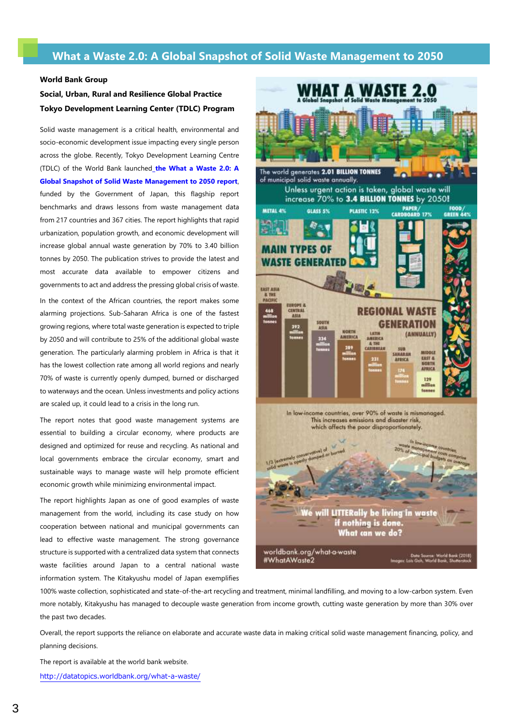## **What a Waste 2.0: A Global Snapshot of Solid Waste Management to 2050**

#### **World Bank Group**

## **Social, Urban, Rural and Resilience Global Practice Tokyo Development Learning Center (TDLC) Program**

Solid waste management is a critical health, environmental and socio-economic development issue impacting every single person across the globe. Recently, Tokyo Development Learning Centre (TDLC) of the World Bank launched **[the What a Waste 2.0: A](https://openknowledge.worldbank.org/handle/10986/30317)  [Global Snapshot of Solid Waste Management to 2050 report](https://openknowledge.worldbank.org/handle/10986/30317)**, funded by the Government of Japan, this flagship report benchmarks and draws lessons from waste management data from 217 countries and 367 cities. The report highlights that rapid urbanization, population growth, and economic development will increase global annual waste generation by 70% to 3.40 billion tonnes by 2050. The publication strives to provide the latest and most accurate data available to empower citizens and governments to act and address the pressing global crisis of waste. In the context of the African countries, the report makes some alarming projections. Sub-Saharan Africa is one of the fastest growing regions, where total waste generation is expected to triple by 2050 and will contribute to 25% of the additional global waste

generation. The particularly alarming problem in Africa is that it has the lowest collection rate among all world regions and nearly 70% of waste is currently openly dumped, burned or discharged to waterways and the ocean. Unless investments and policy actions are scaled up, it could lead to a crisis in the long run.

The report notes that good waste management systems are essential to building a circular economy, where products are designed and optimized for reuse and recycling. As national and local governments embrace the circular economy, smart and sustainable ways to manage waste will help promote efficient economic growth while minimizing environmental impact.

The report highlights Japan as one of good examples of waste management from the world, including its case study on how cooperation between national and municipal governments can lead to effective waste management. The strong governance structure is supported with a centralized data system that connects waste facilities around Japan to a central national waste information system. The Kitakyushu model of Japan exemplifies



100% waste collection, sophisticated and state-of-the-art recycling and treatment, minimal landfilling, and moving to a low-carbon system. Even more notably, Kitakyushu has managed to decouple waste generation from income growth, cutting waste generation by more than 30% over the past two decades.

Overall, the report supports the reliance on elaborate and accurate waste data in making critical solid waste management financing, policy, and planning decisions.

The report is available at the world bank website. <http://datatopics.worldbank.org/what-a-waste/>